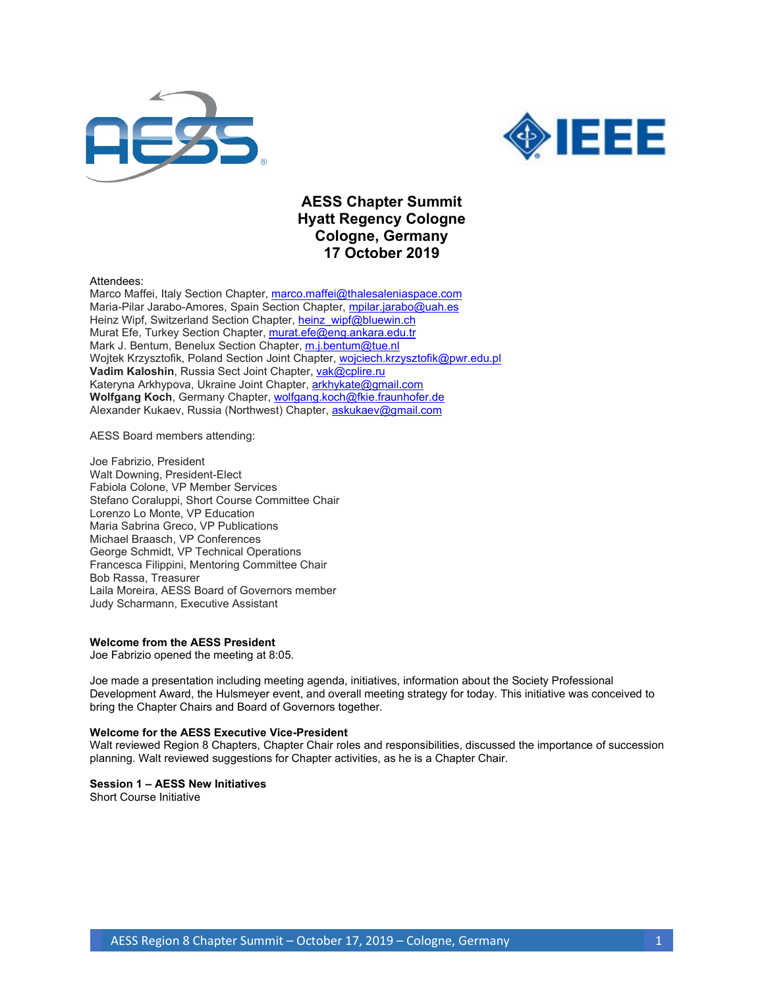



# **AESS Chapter Summit Hyatt Regency Cologne Cologne, Germany 17 October 2019**

Attendees:

Marco Maffei, Italy Section Chapter, [marco.maffei@thalesaleniaspace.com](mailto:marco.maffei@thalesaleniaspace.com) Maria-Pilar Jarabo-Amores, Spain Section Chapter, [mpilar.jarabo@uah.es](mailto:mpilar.jarabo@uah.es) Heinz Wipf, Switzerland Section Chapter, [heinz\\_wipf@bluewin.ch](mailto:heinz_wipf@bluewin.ch) Murat Efe, Turkey Section Chapter, [murat.efe@eng.ankara.edu.tr](mailto:murat.efe@eng.ankara.edu.tr) Mark J. Bentum, Benelux Section Chapter, [m.j.bentum@tue.nl](mailto:m.j.bentum@tue.nl) Wojtek Krzysztofik, Poland Section Joint Chapter, [wojciech.krzysztofik@pwr.edu.pl](mailto:wojciech.krzysztofik@pwr.edu.pl) Vadim Kaloshin, Russia Sect Joint Chapter, [vak@cplire.ru](mailto:vak@cplire.ru) Kateryna Arkhypova, Ukraine Joint Chapter, [arkhykate@gmail.com](mailto:arkhykate@gmail.com) **Wolfgang Koch**, Germany Chapter[, wolfgang.koch@fkie.fraunhofer.de](mailto:wolfgang.koch@fkie.fraunhofer.de) Alexander Kukaev, Russia (Northwest) Chapter, [askukaev@gmail.com](mailto:askukaev@gmail.com)

AESS Board members attending:

Joe Fabrizio, President Walt Downing, President-Elect Fabiola Colone, VP Member Services Stefano Coraluppi, Short Course Committee Chair Lorenzo Lo Monte, VP Education Maria Sabrina Greco, VP Publications Michael Braasch, VP Conferences George Schmidt, VP Technical Operations Francesca Filippini, Mentoring Committee Chair Bob Rassa, Treasurer Laila Moreira, AESS Board of Governors member Judy Scharmann, Executive Assistant

#### **Welcome from the AESS President**

Joe Fabrizio opened the meeting at 8:05.

Joe made a presentation including meeting agenda, initiatives, information about the Society Professional Development Award, the Hulsmeyer event, and overall meeting strategy for today. This initiative was conceived to bring the Chapter Chairs and Board of Governors together.

#### **Welcome for the AESS Executive Vice-President**

Walt reviewed Region 8 Chapters, Chapter Chair roles and responsibilities, discussed the importance of succession planning. Walt reviewed suggestions for Chapter activities, as he is a Chapter Chair.

# **Session 1 – AESS New Initiatives**

Short Course Initiative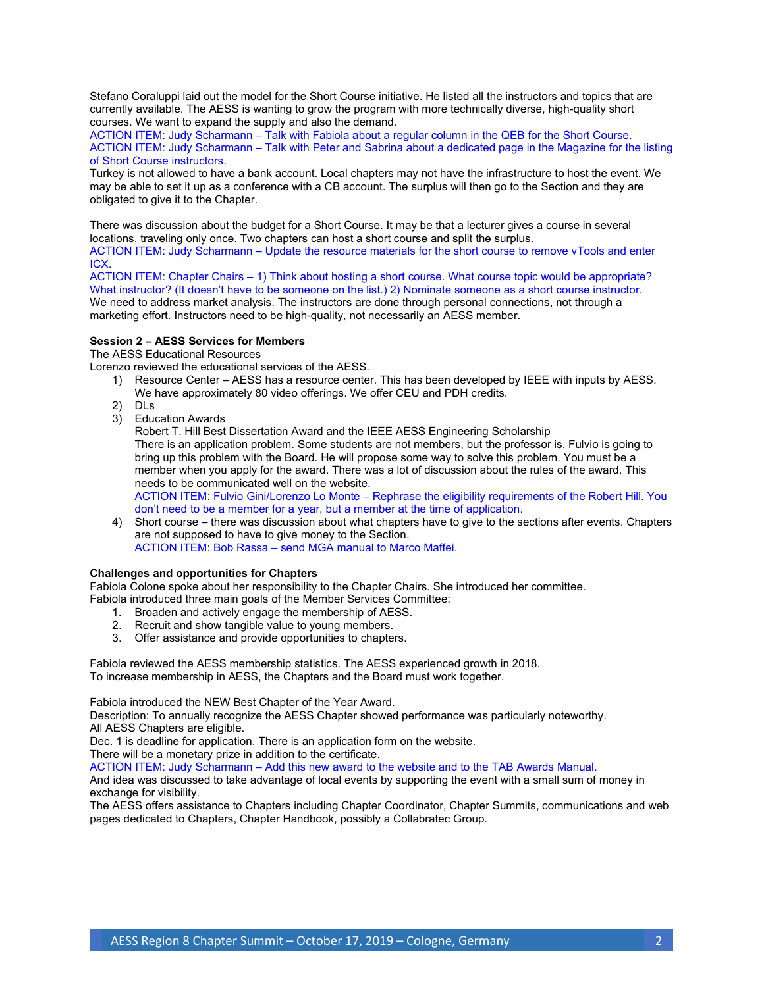Stefano Coraluppi laid out the model for the Short Course initiative. He listed all the instructors and topics that are currently available. The AESS is wanting to grow the program with more technically diverse, high-quality short courses. We want to expand the supply and also the demand.

ACTION ITEM: Judy Scharmann – Talk with Fabiola about a regular column in the QEB for the Short Course. ACTION ITEM: Judy Scharmann – Talk with Peter and Sabrina about a dedicated page in the Magazine for the listing of Short Course instructors.

Turkey is not allowed to have a bank account. Local chapters may not have the infrastructure to host the event. We may be able to set it up as a conference with a CB account. The surplus will then go to the Section and they are obligated to give it to the Chapter.

There was discussion about the budget for a Short Course. It may be that a lecturer gives a course in several locations, traveling only once. Two chapters can host a short course and split the surplus.

ACTION ITEM: Judy Scharmann – Update the resource materials for the short course to remove vTools and enter ICX.

ACTION ITEM: Chapter Chairs – 1) Think about hosting a short course. What course topic would be appropriate? What instructor? (It doesn't have to be someone on the list.) 2) Nominate someone as a short course instructor. We need to address market analysis. The instructors are done through personal connections, not through a marketing effort. Instructors need to be high-quality, not necessarily an AESS member.

# **Session 2 – AESS Services for Members**

The AESS Educational Resources

Lorenzo reviewed the educational services of the AESS.

- 1) Resource Center AESS has a resource center. This has been developed by IEEE with inputs by AESS. We have approximately 80 video offerings. We offer CEU and PDH credits.
- 2) DLs
- 3) Education Awards

Robert T. Hill Best Dissertation Award and the IEEE AESS Engineering Scholarship There is an application problem. Some students are not members, but the professor is. Fulvio is going to bring up this problem with the Board. He will propose some way to solve this problem. You must be a member when you apply for the award. There was a lot of discussion about the rules of the award. This needs to be communicated well on the website.

ACTION ITEM: Fulvio Gini/Lorenzo Lo Monte – Rephrase the eligibility requirements of the Robert Hill. You don't need to be a member for a year, but a member at the time of application.

4) Short course – there was discussion about what chapters have to give to the sections after events. Chapters are not supposed to have to give money to the Section. ACTION ITEM: Bob Rassa – send MGA manual to Marco Maffei.

# **Challenges and opportunities for Chapters**

Fabiola Colone spoke about her responsibility to the Chapter Chairs. She introduced her committee.

- Fabiola introduced three main goals of the Member Services Committee:
	- 1. Broaden and actively engage the membership of AESS.
	- 2. Recruit and show tangible value to young members.
	- 3. Offer assistance and provide opportunities to chapters.

Fabiola reviewed the AESS membership statistics. The AESS experienced growth in 2018. To increase membership in AESS, the Chapters and the Board must work together.

Fabiola introduced the NEW Best Chapter of the Year Award.

Description: To annually recognize the AESS Chapter showed performance was particularly noteworthy. All AESS Chapters are eligible.

Dec. 1 is deadline for application. There is an application form on the website.

There will be a monetary prize in addition to the certificate.

ACTION ITEM: Judy Scharmann – Add this new award to the website and to the TAB Awards Manual.

And idea was discussed to take advantage of local events by supporting the event with a small sum of money in exchange for visibility.

The AESS offers assistance to Chapters including Chapter Coordinator, Chapter Summits, communications and web pages dedicated to Chapters, Chapter Handbook, possibly a Collabratec Group.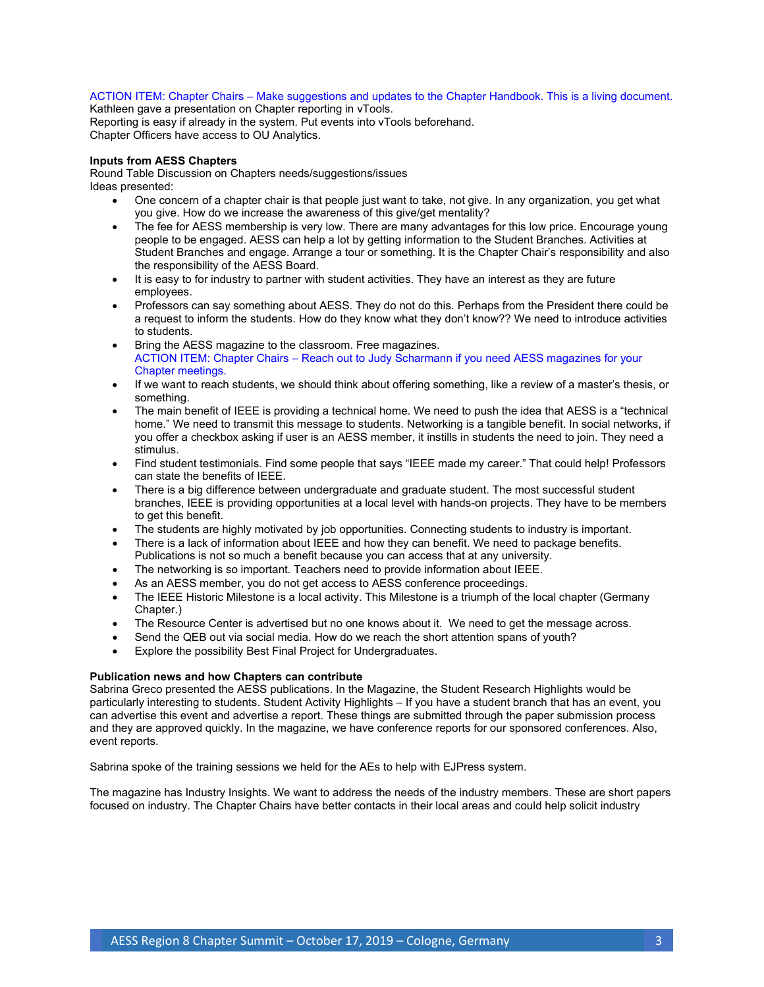# ACTION ITEM: Chapter Chairs – Make suggestions and updates to the Chapter Handbook. This is a living document.

Kathleen gave a presentation on Chapter reporting in vTools. Reporting is easy if already in the system. Put events into vTools beforehand. Chapter Officers have access to OU Analytics.

# **Inputs from AESS Chapters**

Round Table Discussion on Chapters needs/suggestions/issues Ideas presented:

- One concern of a chapter chair is that people just want to take, not give. In any organization, you get what you give. How do we increase the awareness of this give/get mentality?
- The fee for AESS membership is very low. There are many advantages for this low price. Encourage young people to be engaged. AESS can help a lot by getting information to the Student Branches. Activities at Student Branches and engage. Arrange a tour or something. It is the Chapter Chair's responsibility and also the responsibility of the AESS Board.
- It is easy to for industry to partner with student activities. They have an interest as they are future employees.
- Professors can say something about AESS. They do not do this. Perhaps from the President there could be a request to inform the students. How do they know what they don't know?? We need to introduce activities to students.
- Bring the AESS magazine to the classroom. Free magazines. ACTION ITEM: Chapter Chairs – Reach out to Judy Scharmann if you need AESS magazines for your Chapter meetings.
- If we want to reach students, we should think about offering something, like a review of a master's thesis, or something.
- The main benefit of IEEE is providing a technical home. We need to push the idea that AESS is a "technical home." We need to transmit this message to students. Networking is a tangible benefit. In social networks, if you offer a checkbox asking if user is an AESS member, it instills in students the need to join. They need a stimulus.
- Find student testimonials. Find some people that says "IEEE made my career." That could help! Professors can state the benefits of IEEE.
- There is a big difference between undergraduate and graduate student. The most successful student branches, IEEE is providing opportunities at a local level with hands-on projects. They have to be members to get this benefit.
- The students are highly motivated by job opportunities. Connecting students to industry is important.
- There is a lack of information about IEEE and how they can benefit. We need to package benefits. Publications is not so much a benefit because you can access that at any university.
- The networking is so important. Teachers need to provide information about IEEE.
- As an AESS member, you do not get access to AESS conference proceedings.
- The IEEE Historic Milestone is a local activity. This Milestone is a triumph of the local chapter (Germany Chapter.)
- The Resource Center is advertised but no one knows about it. We need to get the message across.
- Send the QEB out via social media. How do we reach the short attention spans of youth?
- Explore the possibility Best Final Project for Undergraduates.

#### **Publication news and how Chapters can contribute**

Sabrina Greco presented the AESS publications. In the Magazine, the Student Research Highlights would be particularly interesting to students. Student Activity Highlights – If you have a student branch that has an event, you can advertise this event and advertise a report. These things are submitted through the paper submission process and they are approved quickly. In the magazine, we have conference reports for our sponsored conferences. Also, event reports.

Sabrina spoke of the training sessions we held for the AEs to help with EJPress system.

The magazine has Industry Insights. We want to address the needs of the industry members. These are short papers focused on industry. The Chapter Chairs have better contacts in their local areas and could help solicit industry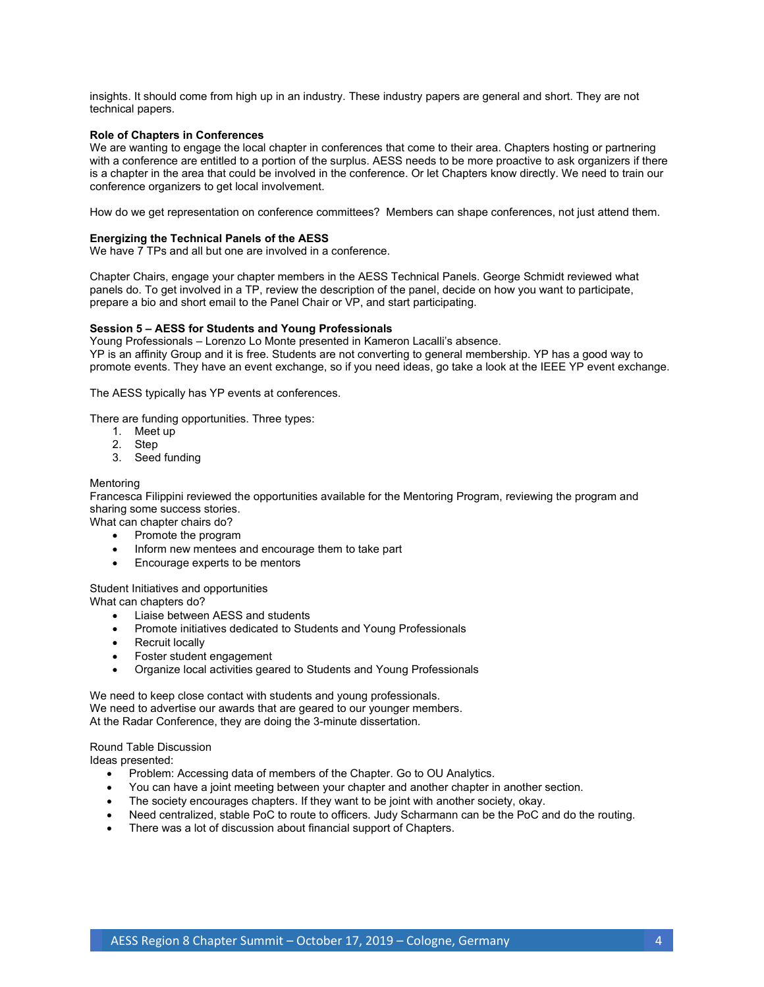insights. It should come from high up in an industry. These industry papers are general and short. They are not technical papers.

### **Role of Chapters in Conferences**

We are wanting to engage the local chapter in conferences that come to their area. Chapters hosting or partnering with a conference are entitled to a portion of the surplus. AESS needs to be more proactive to ask organizers if there is a chapter in the area that could be involved in the conference. Or let Chapters know directly. We need to train our conference organizers to get local involvement.

How do we get representation on conference committees? Members can shape conferences, not just attend them.

#### **Energizing the Technical Panels of the AESS**

We have 7 TPs and all but one are involved in a conference.

Chapter Chairs, engage your chapter members in the AESS Technical Panels. George Schmidt reviewed what panels do. To get involved in a TP, review the description of the panel, decide on how you want to participate, prepare a bio and short email to the Panel Chair or VP, and start participating.

#### **Session 5 – AESS for Students and Young Professionals**

Young Professionals – Lorenzo Lo Monte presented in Kameron Lacalli's absence. YP is an affinity Group and it is free. Students are not converting to general membership. YP has a good way to promote events. They have an event exchange, so if you need ideas, go take a look at the IEEE YP event exchange.

The AESS typically has YP events at conferences.

There are funding opportunities. Three types:

- 1. Meet up
- 2. Step
- 3. Seed funding

#### **Mentoring**

Francesca Filippini reviewed the opportunities available for the Mentoring Program, reviewing the program and sharing some success stories.

What can chapter chairs do?

- Promote the program
- Inform new mentees and encourage them to take part
- Encourage experts to be mentors

#### Student Initiatives and opportunities

What can chapters do?

- Liaise between AESS and students
- Promote initiatives dedicated to Students and Young Professionals
- Recruit locally
- Foster student engagement
- Organize local activities geared to Students and Young Professionals

We need to keep close contact with students and young professionals. We need to advertise our awards that are geared to our younger members. At the Radar Conference, they are doing the 3-minute dissertation.

# Round Table Discussion

Ideas presented:

- Problem: Accessing data of members of the Chapter. Go to OU Analytics.
- You can have a joint meeting between your chapter and another chapter in another section.
- The society encourages chapters. If they want to be joint with another society, okay.
- Need centralized, stable PoC to route to officers. Judy Scharmann can be the PoC and do the routing.
- There was a lot of discussion about financial support of Chapters.